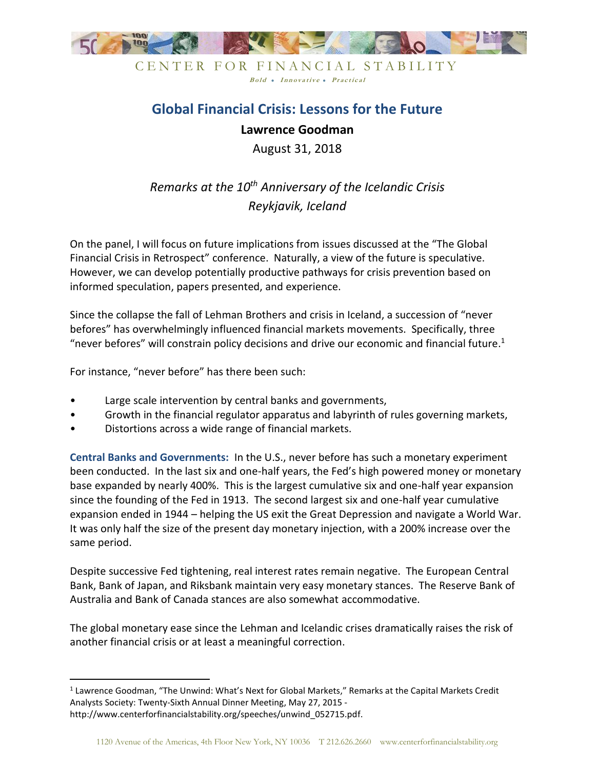

CENTER FOR FINANCIAL STABILITY Bold • Innovative • Practical

## **Global Financial Crisis: Lessons for the Future Lawrence Goodman**

August 31, 2018

*Remarks at the 10th Anniversary of the Icelandic Crisis Reykjavik, Iceland*

On the panel, I will focus on future implications from issues discussed at the "The Global Financial Crisis in Retrospect" conference. Naturally, a view of the future is speculative. However, we can develop potentially productive pathways for crisis prevention based on informed speculation, papers presented, and experience.

Since the collapse the fall of Lehman Brothers and crisis in Iceland, a succession of "never befores" has overwhelmingly influenced financial markets movements. Specifically, three "never befores" will constrain policy decisions and drive our economic and financial future.<sup>1</sup>

For instance, "never before" has there been such:

 $\overline{\phantom{a}}$ 

- Large scale intervention by central banks and governments,
- Growth in the financial regulator apparatus and labyrinth of rules governing markets,
- Distortions across a wide range of financial markets.

**Central Banks and Governments:** In the U.S., never before has such a monetary experiment been conducted. In the last six and one-half years, the Fed's high powered money or monetary base expanded by nearly 400%. This is the largest cumulative six and one-half year expansion since the founding of the Fed in 1913. The second largest six and one-half year cumulative expansion ended in 1944 – helping the US exit the Great Depression and navigate a World War. It was only half the size of the present day monetary injection, with a 200% increase over the same period.

Despite successive Fed tightening, real interest rates remain negative. The European Central Bank, Bank of Japan, and Riksbank maintain very easy monetary stances. The Reserve Bank of Australia and Bank of Canada stances are also somewhat accommodative.

The global monetary ease since the Lehman and Icelandic crises dramatically raises the risk of another financial crisis or at least a meaningful correction.

<sup>&</sup>lt;sup>1</sup> Lawrence Goodman, "The Unwind: What's Next for Global Markets," Remarks at the Capital Markets Credit Analysts Society: Twenty-Sixth Annual Dinner Meeting, May 27, 2015 http://www.centerforfinancialstability.org/speeches/unwind\_052715.pdf.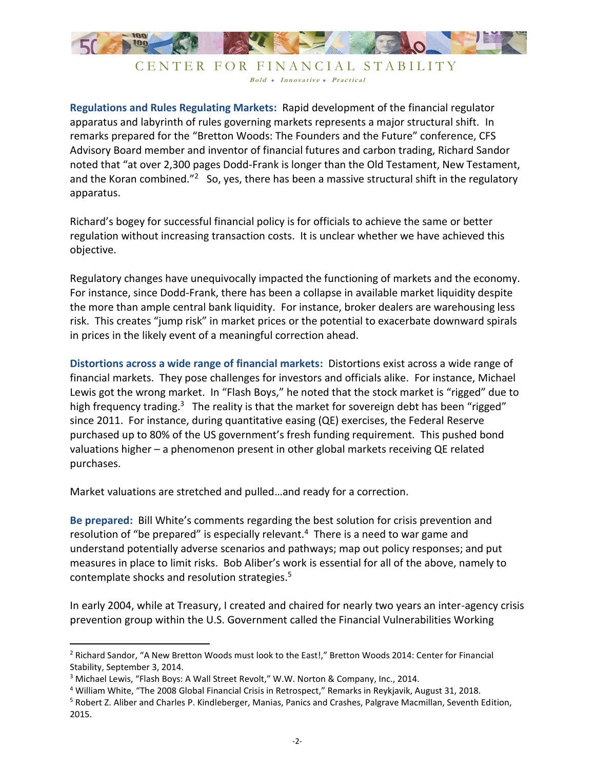

## CENTER FOR FINANCIAL STABILITY Bold • Innovative • Practical

**Regulations and Rules Regulating Markets:** Rapid development of the financial regulator apparatus and labyrinth of rules governing markets represents a major structural shift. In remarks prepared for the "Bretton Woods: The Founders and the Future" conference, CFS Advisory Board member and inventor of financial futures and carbon trading, Richard Sandor noted that "at over 2,300 pages Dodd-Frank is longer than the Old Testament, New Testament, and the Koran combined."<sup>2</sup> So, yes, there has been a massive structural shift in the regulatory apparatus.

Richard's bogey for successful financial policy is for officials to achieve the same or better regulation without increasing transaction costs. It is unclear whether we have achieved this objective.

Regulatory changes have unequivocally impacted the functioning of markets and the economy. For instance, since Dodd-Frank, there has been a collapse in available market liquidity despite the more than ample central bank liquidity. For instance, broker dealers are warehousing less risk. This creates "jump risk" in market prices or the potential to exacerbate downward spirals in prices in the likely event of a meaningful correction ahead.

**Distortions across a wide range of financial markets:** Distortions exist across a wide range of financial markets. They pose challenges for investors and officials alike. For instance, Michael Lewis got the wrong market. In "Flash Boys," he noted that the stock market is "rigged" due to high frequency trading.<sup>3</sup> The reality is that the market for sovereign debt has been "rigged" since 2011. For instance, during quantitative easing (QE) exercises, the Federal Reserve purchased up to 80% of the US government's fresh funding requirement. This pushed bond valuations higher – a phenomenon present in other global markets receiving QE related purchases.

Market valuations are stretched and pulled…and ready for a correction.

**Be prepared:** Bill White's comments regarding the best solution for crisis prevention and resolution of "be prepared" is especially relevant.<sup>4</sup> There is a need to war game and understand potentially adverse scenarios and pathways; map out policy responses; and put measures in place to limit risks. Bob Aliber's work is essential for all of the above, namely to contemplate shocks and resolution strategies.<sup>5</sup>

In early 2004, while at Treasury, I created and chaired for nearly two years an inter-agency crisis prevention group within the U.S. Government called the Financial Vulnerabilities Working

 $\overline{a}$ 

<sup>2</sup> Richard Sandor, "A New Bretton Woods must look to the East!," Bretton Woods 2014: Center for Financial Stability, September 3, 2014.

<sup>3</sup> Michael Lewis, "Flash Boys: A Wall Street Revolt," W.W. Norton & Company, Inc., 2014.

<sup>4</sup> William White, "The 2008 Global Financial Crisis in Retrospect," Remarks in Reykjavik, August 31, 2018.

<sup>5</sup> Robert Z. Aliber and Charles P. Kindleberger, Manias, Panics and Crashes, Palgrave Macmillan, Seventh Edition, 2015.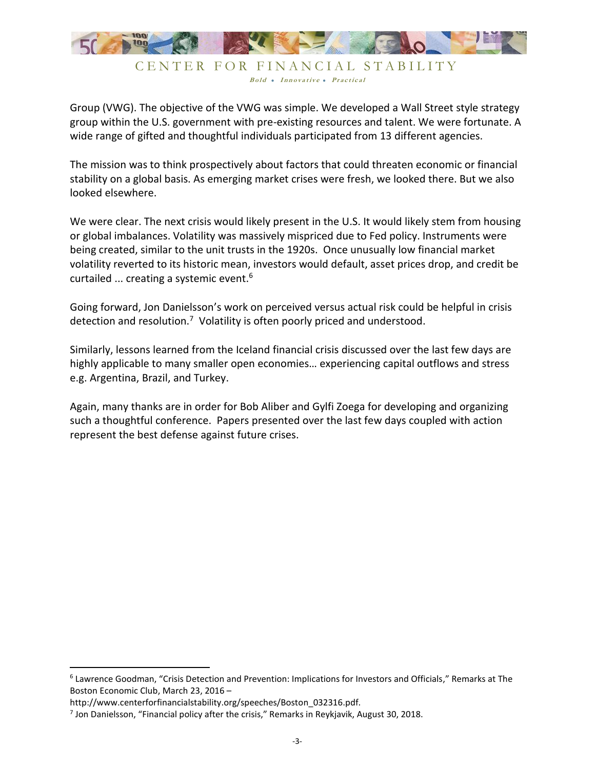

Bold • Innovative • Practical

Group (VWG). The objective of the VWG was simple. We developed a Wall Street style strategy group within the U.S. government with pre-existing resources and talent. We were fortunate. A wide range of gifted and thoughtful individuals participated from 13 different agencies.

The mission was to think prospectively about factors that could threaten economic or financial stability on a global basis. As emerging market crises were fresh, we looked there. But we also looked elsewhere.

We were clear. The next crisis would likely present in the U.S. It would likely stem from housing or global imbalances. Volatility was massively mispriced due to Fed policy. Instruments were being created, similar to the unit trusts in the 1920s. Once unusually low financial market volatility reverted to its historic mean, investors would default, asset prices drop, and credit be curtailed ... creating a systemic event.<sup>6</sup>

Going forward, Jon Danielsson's work on perceived versus actual risk could be helpful in crisis detection and resolution.<sup>7</sup> Volatility is often poorly priced and understood.

Similarly, lessons learned from the Iceland financial crisis discussed over the last few days are highly applicable to many smaller open economies… experiencing capital outflows and stress e.g. Argentina, Brazil, and Turkey.

Again, many thanks are in order for Bob Aliber and Gylfi Zoega for developing and organizing such a thoughtful conference. Papers presented over the last few days coupled with action represent the best defense against future crises.

 $\overline{\phantom{a}}$ 

<sup>6</sup> Lawrence Goodman, "Crisis Detection and Prevention: Implications for Investors and Officials," Remarks at The Boston Economic Club, March 23, 2016 –

http://www.centerforfinancialstability.org/speeches/Boston\_032316.pdf.

<sup>&</sup>lt;sup>7</sup> Jon Danielsson, "Financial policy after the crisis," Remarks in Reykjavik, August 30, 2018.